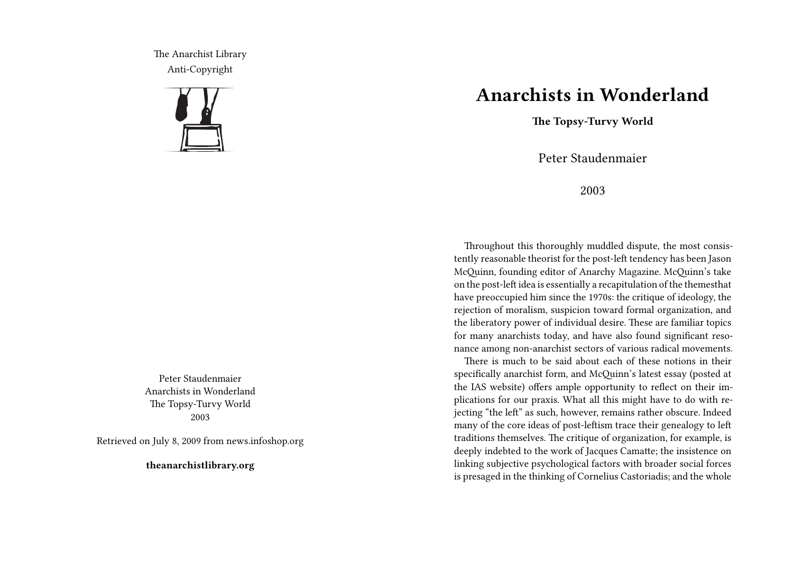The Anarchist Library Anti-Copyright



Peter Staudenmaier Anarchists in Wonderland The Topsy-Turvy World 2003

Retrieved on July 8, 2009 from news.infoshop.org

**theanarchistlibrary.org**

## **Anarchists in Wonderland**

**The Topsy-Turvy World**

Peter Staudenmaier

2003

Throughout this thoroughly muddled dispute, the most consistently reasonable theorist for the post-left tendency has been Jason McQuinn, founding editor of Anarchy Magazine. McQuinn's take on the post-left idea is essentially a recapitulation of the themesthat have preoccupied him since the 1970s: the critique of ideology, the rejection of moralism, suspicion toward formal organization, and the liberatory power of individual desire. These are familiar topics for many anarchists today, and have also found significant resonance among non-anarchist sectors of various radical movements.

There is much to be said about each of these notions in their specifically anarchist form, and McQuinn's latest essay (posted at the IAS website) offers ample opportunity to reflect on their implications for our praxis. What all this might have to do with rejecting "the left" as such, however, remains rather obscure. Indeed many of the core ideas of post-leftism trace their genealogy to left traditions themselves. The critique of organization, for example, is deeply indebted to the work of Jacques Camatte; the insistence on linking subjective psychological factors with broader social forces is presaged in the thinking of Cornelius Castoriadis; and the whole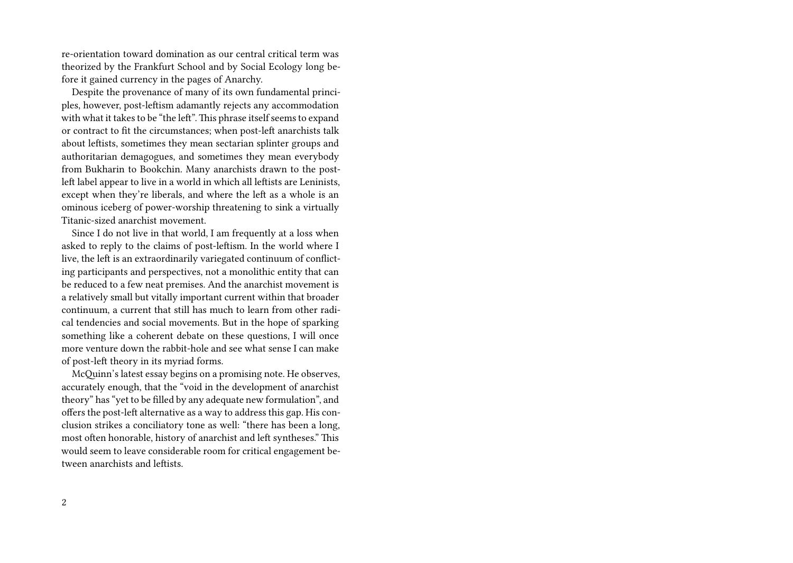re-orientation toward domination as our central critical term was theorized by the Frankfurt School and by Social Ecology long before it gained currency in the pages of Anarchy.

Despite the provenance of many of its own fundamental principles, however, post-leftism adamantly rejects any accommodation with what it takes to be "the left". This phrase itself seems to expand or contract to fit the circumstances; when post-left anarchists talk about leftists, sometimes they mean sectarian splinter groups and authoritarian demagogues, and sometimes they mean everybody from Bukharin to Bookchin. Many anarchists drawn to the postleft label appear to live in a world in which all leftists are Leninists, except when they're liberals, and where the left as a whole is an ominous iceberg of power-worship threatening to sink a virtually Titanic-sized anarchist movement.

Since I do not live in that world, I am frequently at a loss when asked to reply to the claims of post-leftism. In the world where I live, the left is an extraordinarily variegated continuum of conflicting participants and perspectives, not a monolithic entity that can be reduced to a few neat premises. And the anarchist movement is a relatively small but vitally important current within that broader continuum, a current that still has much to learn from other radical tendencies and social movements. But in the hope of sparking something like a coherent debate on these questions, I will once more venture down the rabbit-hole and see what sense I can make of post-left theory in its myriad forms.

McQuinn's latest essay begins on a promising note. He observes, accurately enough, that the "void in the development of anarchist theory" has "yet to be filled by any adequate new formulation", and offers the post-left alternative as a way to address this gap. His conclusion strikes a conciliatory tone as well: "there has been a long, most often honorable, history of anarchist and left syntheses." This would seem to leave considerable room for critical engagement between anarchists and leftists.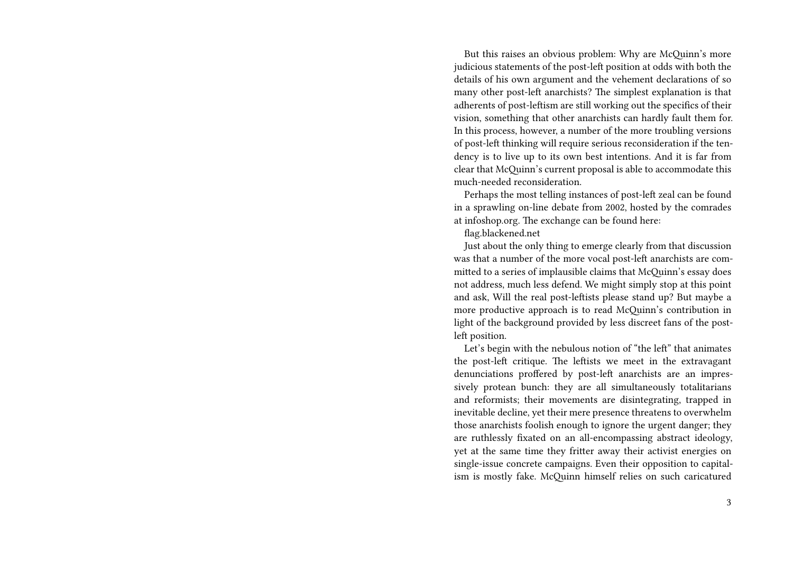But this raises an obvious problem: Why are McQuinn's more judicious statements of the post-left position at odds with both the details of his own argument and the vehement declarations of so many other post-left anarchists? The simplest explanation is that adherents of post-leftism are still working out the specifics of their vision, something that other anarchists can hardly fault them for. In this process, however, a number of the more troubling versions of post-left thinking will require serious reconsideration if the tendency is to live up to its own best intentions. And it is far from clear that McQuinn's current proposal is able to accommodate this much-needed reconsideration.

Perhaps the most telling instances of post-left zeal can be found in a sprawling on-line debate from 2002, hosted by the comrades at infoshop.org. The exchange can be found here:

flag.blackened.net

Just about the only thing to emerge clearly from that discussion was that a number of the more vocal post-left anarchists are committed to a series of implausible claims that McQuinn's essay does not address, much less defend. We might simply stop at this point and ask, Will the real post-leftists please stand up? But maybe a more productive approach is to read McQuinn's contribution in light of the background provided by less discreet fans of the postleft position.

Let's begin with the nebulous notion of "the left" that animates the post-left critique. The leftists we meet in the extravagant denunciations proffered by post-left anarchists are an impressively protean bunch: they are all simultaneously totalitarians and reformists; their movements are disintegrating, trapped in inevitable decline, yet their mere presence threatens to overwhelm those anarchists foolish enough to ignore the urgent danger; they are ruthlessly fixated on an all-encompassing abstract ideology, yet at the same time they fritter away their activist energies on single-issue concrete campaigns. Even their opposition to capitalism is mostly fake. McQuinn himself relies on such caricatured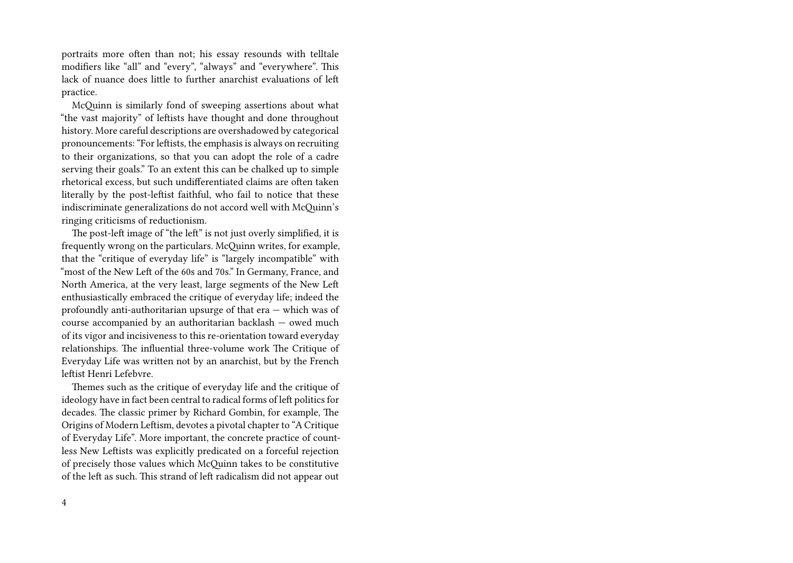portraits more often than not; his essay resounds with telltale modifiers like "all" and "every", "always" and "everywhere". This lack of nuance does little to further anarchist evaluations of left practice.

McQuinn is similarly fond of sweeping assertions about what "the vast majority" of leftists have thought and done throughout history. More careful descriptions are overshadowed by categorical pronouncements: "For leftists, the emphasis is always on recruiting to their organizations, so that you can adopt the role of a cadre serving their goals." To an extent this can be chalked up to simple rhetorical excess, but such undifferentiated claims are often taken literally by the post-leftist faithful, who fail to notice that these indiscriminate generalizations do not accord well with McQuinn's ringing criticisms of reductionism.

The post-left image of "the left" is not just overly simplified, it is frequently wrong on the particulars. McQuinn writes, for example, that the "critique of everyday life" is "largely incompatible" with "most of the New Left of the 60s and 70s." In Germany, France, and North America, at the very least, large segments of the New Left enthusiastically embraced the critique of everyday life; indeed the profoundly anti-authoritarian upsurge of that era — which was of course accompanied by an authoritarian backlash — owed much of its vigor and incisiveness to this re-orientation toward everyday relationships. The influential three-volume work The Critique of Everyday Life was written not by an anarchist, but by the French leftist Henri Lefebvre.

Themes such as the critique of everyday life and the critique of ideology have in fact been central to radical forms of left politics for decades. The classic primer by Richard Gombin, for example, The Origins of Modern Leftism, devotes a pivotal chapter to "A Critique of Everyday Life". More important, the concrete practice of countless New Leftists was explicitly predicated on a forceful rejection of precisely those values which McQuinn takes to be constitutive of the left as such. This strand of left radicalism did not appear out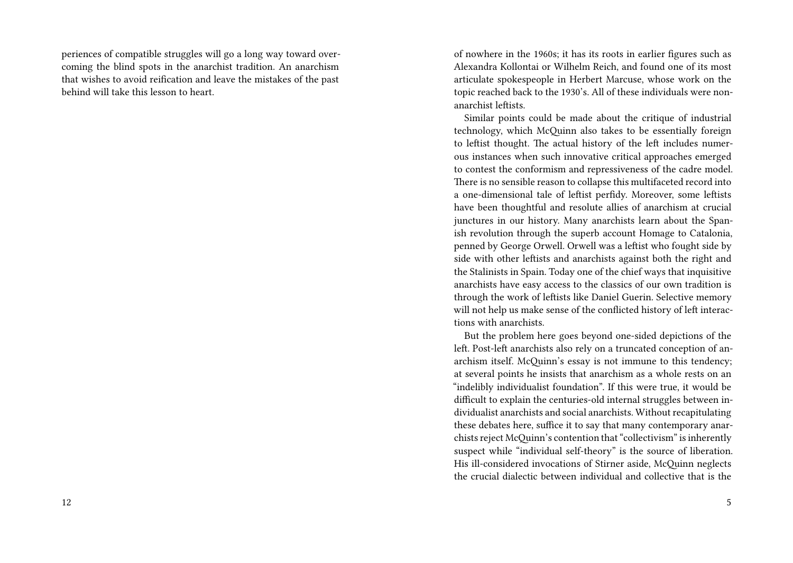periences of compatible struggles will go a long way toward overcoming the blind spots in the anarchist tradition. An anarchism that wishes to avoid reification and leave the mistakes of the past behind will take this lesson to heart.

of nowhere in the 1960s; it has its roots in earlier figures such as Alexandra Kollontai or Wilhelm Reich, and found one of its most articulate spokespeople in Herbert Marcuse, whose work on the topic reached back to the 1930's. All of these individuals were nonanarchist leftists.

Similar points could be made about the critique of industrial technology, which McQuinn also takes to be essentially foreign to leftist thought. The actual history of the left includes numerous instances when such innovative critical approaches emerged to contest the conformism and repressiveness of the cadre model. There is no sensible reason to collapse this multifaceted record into a one-dimensional tale of leftist perfidy. Moreover, some leftists have been thoughtful and resolute allies of anarchism at crucial junctures in our history. Many anarchists learn about the Spanish revolution through the superb account Homage to Catalonia, penned by George Orwell. Orwell was a leftist who fought side by side with other leftists and anarchists against both the right and the Stalinists in Spain. Today one of the chief ways that inquisitive anarchists have easy access to the classics of our own tradition is through the work of leftists like Daniel Guerin. Selective memory will not help us make sense of the conflicted history of left interactions with anarchists.

But the problem here goes beyond one-sided depictions of the left. Post-left anarchists also rely on a truncated conception of anarchism itself. McQuinn's essay is not immune to this tendency; at several points he insists that anarchism as a whole rests on an "indelibly individualist foundation". If this were true, it would be difficult to explain the centuries-old internal struggles between individualist anarchists and social anarchists. Without recapitulating these debates here, suffice it to say that many contemporary anarchists reject McQuinn's contention that "collectivism" is inherently suspect while "individual self-theory" is the source of liberation. His ill-considered invocations of Stirner aside, McQuinn neglects the crucial dialectic between individual and collective that is the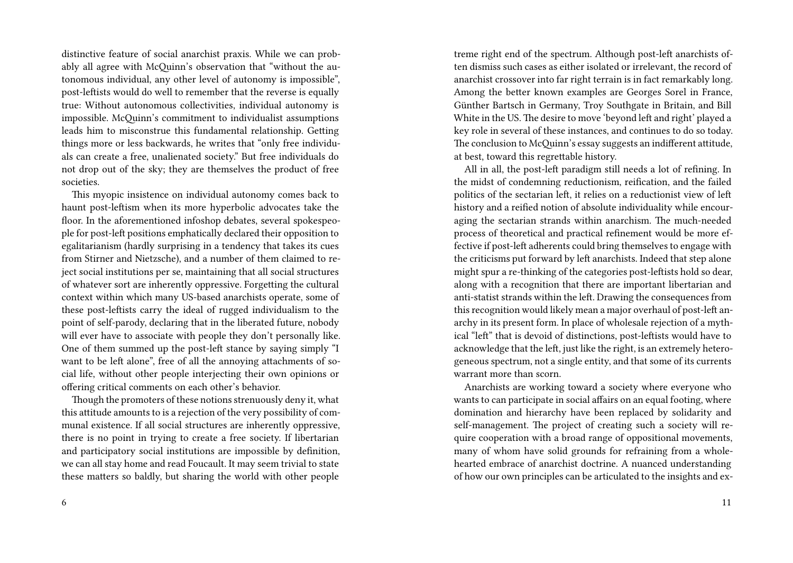distinctive feature of social anarchist praxis. While we can probably all agree with McQuinn's observation that "without the autonomous individual, any other level of autonomy is impossible", post-leftists would do well to remember that the reverse is equally true: Without autonomous collectivities, individual autonomy is impossible. McQuinn's commitment to individualist assumptions leads him to misconstrue this fundamental relationship. Getting things more or less backwards, he writes that "only free individuals can create a free, unalienated society." But free individuals do not drop out of the sky; they are themselves the product of free societies.

This myopic insistence on individual autonomy comes back to haunt post-leftism when its more hyperbolic advocates take the floor. In the aforementioned infoshop debates, several spokespeople for post-left positions emphatically declared their opposition to egalitarianism (hardly surprising in a tendency that takes its cues from Stirner and Nietzsche), and a number of them claimed to reject social institutions per se, maintaining that all social structures of whatever sort are inherently oppressive. Forgetting the cultural context within which many US-based anarchists operate, some of these post-leftists carry the ideal of rugged individualism to the point of self-parody, declaring that in the liberated future, nobody will ever have to associate with people they don't personally like. One of them summed up the post-left stance by saying simply "I want to be left alone", free of all the annoying attachments of social life, without other people interjecting their own opinions or offering critical comments on each other's behavior.

Though the promoters of these notions strenuously deny it, what this attitude amounts to is a rejection of the very possibility of communal existence. If all social structures are inherently oppressive, there is no point in trying to create a free society. If libertarian and participatory social institutions are impossible by definition, we can all stay home and read Foucault. It may seem trivial to state these matters so baldly, but sharing the world with other people

treme right end of the spectrum. Although post-left anarchists often dismiss such cases as either isolated or irrelevant, the record of anarchist crossover into far right terrain is in fact remarkably long. Among the better known examples are Georges Sorel in France, Günther Bartsch in Germany, Troy Southgate in Britain, and Bill White in the US. The desire to move 'beyond left and right' played a key role in several of these instances, and continues to do so today. The conclusion to McQuinn's essay suggests an indifferent attitude, at best, toward this regrettable history.

All in all, the post-left paradigm still needs a lot of refining. In the midst of condemning reductionism, reification, and the failed politics of the sectarian left, it relies on a reductionist view of left history and a reified notion of absolute individuality while encouraging the sectarian strands within anarchism. The much-needed process of theoretical and practical refinement would be more effective if post-left adherents could bring themselves to engage with the criticisms put forward by left anarchists. Indeed that step alone might spur a re-thinking of the categories post-leftists hold so dear, along with a recognition that there are important libertarian and anti-statist strands within the left. Drawing the consequences from this recognition would likely mean a major overhaul of post-left anarchy in its present form. In place of wholesale rejection of a mythical "left" that is devoid of distinctions, post-leftists would have to acknowledge that the left, just like the right, is an extremely heterogeneous spectrum, not a single entity, and that some of its currents warrant more than scorn.

Anarchists are working toward a society where everyone who wants to can participate in social affairs on an equal footing, where domination and hierarchy have been replaced by solidarity and self-management. The project of creating such a society will require cooperation with a broad range of oppositional movements, many of whom have solid grounds for refraining from a wholehearted embrace of anarchist doctrine. A nuanced understanding of how our own principles can be articulated to the insights and ex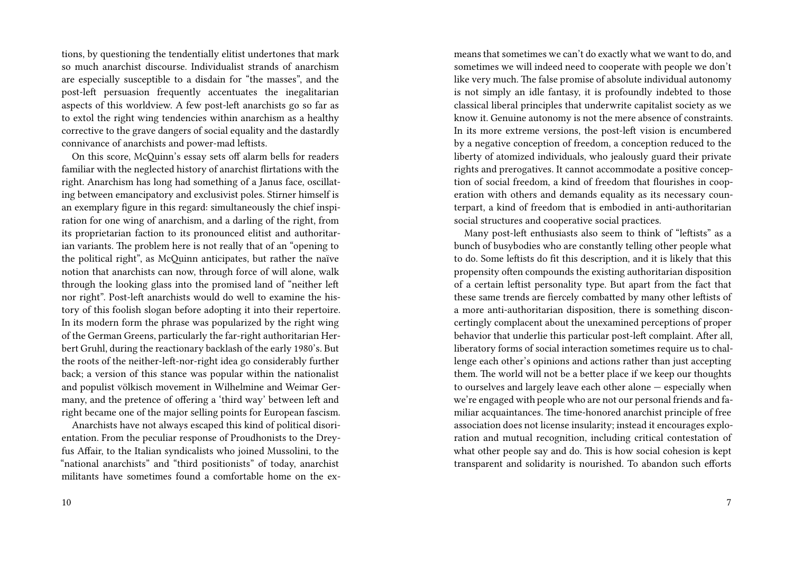tions, by questioning the tendentially elitist undertones that mark so much anarchist discourse. Individualist strands of anarchism are especially susceptible to a disdain for "the masses", and the post-left persuasion frequently accentuates the inegalitarian aspects of this worldview. A few post-left anarchists go so far as to extol the right wing tendencies within anarchism as a healthy corrective to the grave dangers of social equality and the dastardly connivance of anarchists and power-mad leftists.

On this score, McQuinn's essay sets off alarm bells for readers familiar with the neglected history of anarchist flirtations with the right. Anarchism has long had something of a Janus face, oscillating between emancipatory and exclusivist poles. Stirner himself is an exemplary figure in this regard: simultaneously the chief inspiration for one wing of anarchism, and a darling of the right, from its proprietarian faction to its pronounced elitist and authoritarian variants. The problem here is not really that of an "opening to the political right", as McQuinn anticipates, but rather the naïve notion that anarchists can now, through force of will alone, walk through the looking glass into the promised land of "neither left nor right". Post-left anarchists would do well to examine the history of this foolish slogan before adopting it into their repertoire. In its modern form the phrase was popularized by the right wing of the German Greens, particularly the far-right authoritarian Herbert Gruhl, during the reactionary backlash of the early 1980's. But the roots of the neither-left-nor-right idea go considerably further back; a version of this stance was popular within the nationalist and populist völkisch movement in Wilhelmine and Weimar Germany, and the pretence of offering a 'third way' between left and right became one of the major selling points for European fascism.

Anarchists have not always escaped this kind of political disorientation. From the peculiar response of Proudhonists to the Dreyfus Affair, to the Italian syndicalists who joined Mussolini, to the "national anarchists" and "third positionists" of today, anarchist militants have sometimes found a comfortable home on the exmeans that sometimes we can't do exactly what we want to do, and sometimes we will indeed need to cooperate with people we don't like very much. The false promise of absolute individual autonomy is not simply an idle fantasy, it is profoundly indebted to those classical liberal principles that underwrite capitalist society as we know it. Genuine autonomy is not the mere absence of constraints. In its more extreme versions, the post-left vision is encumbered by a negative conception of freedom, a conception reduced to the liberty of atomized individuals, who jealously guard their private rights and prerogatives. It cannot accommodate a positive conception of social freedom, a kind of freedom that flourishes in cooperation with others and demands equality as its necessary counterpart, a kind of freedom that is embodied in anti-authoritarian social structures and cooperative social practices.

Many post-left enthusiasts also seem to think of "leftists" as a bunch of busybodies who are constantly telling other people what to do. Some leftists do fit this description, and it is likely that this propensity often compounds the existing authoritarian disposition of a certain leftist personality type. But apart from the fact that these same trends are fiercely combatted by many other leftists of a more anti-authoritarian disposition, there is something disconcertingly complacent about the unexamined perceptions of proper behavior that underlie this particular post-left complaint. After all, liberatory forms of social interaction sometimes require us to challenge each other's opinions and actions rather than just accepting them. The world will not be a better place if we keep our thoughts to ourselves and largely leave each other alone — especially when we're engaged with people who are not our personal friends and familiar acquaintances. The time-honored anarchist principle of free association does not license insularity; instead it encourages exploration and mutual recognition, including critical contestation of what other people say and do. This is how social cohesion is kept transparent and solidarity is nourished. To abandon such efforts